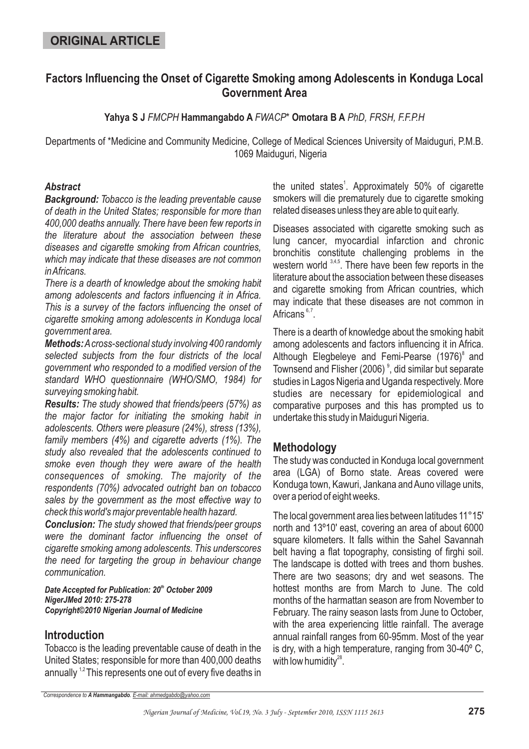## **ORIGINAL ARTICLE**

## **Factors Influencing the Onset of Cigarette Smoking among Adolescents in Konduga Local Government Area**

Yahya S J FMCPH Hammangabdo A FWACP<sup>\*</sup> Omotara B A PhD, FRSH, F.F.P.H

Departments of \*Medicine and Community Medicine, College of Medical Sciences University of Maiduguri, P.M.B. 1069 Maiduguri, Nigeria

#### *Abstract*

*Background: Tobacco is the leading preventable cause of death in the United States; responsible for more than 400,000 deaths annually. There have been few reports in the literature about the association between these diseases and cigarette smoking from African countries, which may indicate that these diseases are not common inAfricans.*

*There is a dearth of knowledge about the smoking habit among adolescents and factors influencing it in Africa. This is a survey of the factors influencing the onset of cigarette smoking among adolescents in Konduga local government area.*

*Methods: Across-sectional study involving 400 randomly selected subjects from the four districts of the local government who responded to a modified version of the standard WHO questionnaire (WHO/SMO, 1984) for surveying smoking habit.*

*Results: The study showed that friends/peers (57%) as the major factor for initiating the smoking habit in adolescents. Others were pleasure (24%), stress (13%), family members (4%) and cigarette adverts (1%). The study also revealed that the adolescents continued to smoke even though they were aware of the health consequences of smoking. The majority of the respondents (70%) advocated outright ban on tobacco sales by the government as the most effective way to check this world's major preventable health hazard.*

*Conclusion: The study showed that friends/peer groups were the dominant factor influencing the onset of cigarette smoking among adolescents. This underscores the need for targeting the group in behaviour change communication.*

*Date Accepted for Publication: 20 October 2009 th NigerJMed 2010: 275-278 Copyright©2010 Nigerian Journal of Medicine*

## **Introduction**

Tobacco is the leading preventable cause of death in the United States; responsible for more than 400,000 deaths annually  $1.2$  This represents one out of every five deaths in

the united states<sup>1</sup>. Approximately 50% of cigarette smokers will die prematurely due to cigarette smoking related diseases unless they are able to quit early.

Diseases associated with cigarette smoking such as lung cancer, myocardial infarction and chronic bronchitis constitute challenging problems in the western world <sup>3,4,5</sup>. There have been few reports in the literature about the association between these diseases and cigarette smoking from African countries, which may indicate that these diseases are not common in Africans<sup>6,7</sup>.

There is a dearth of knowledge about the smoking habit among adolescents and factors influencing it in Africa. Although Elegbeleye and Femi-Pearse (1976)<sup>8</sup> and Townsend and Flisher (2006)<sup>9</sup>, did similar but separate studies in Lagos Nigeria and Uganda respectively. More studies are necessary for epidemiological and comparative purposes and this has prompted us to undertake this study in Maiduguri Nigeria.

## **Methodology**

The study was conducted in Konduga local government area (LGA) of Borno state. Areas covered were Konduga town, Kawuri, Jankana and Auno village units, over a period of eight weeks.

The local government area lies between latitudes 11°15' north and 13º10' east, covering an area of about 6000 square kilometers. It falls within the Sahel Savannah belt having a flat topography, consisting of firghi soil. The landscape is dotted with trees and thorn bushes. There are two seasons; dry and wet seasons. The hottest months are from March to June. The cold months of the harmattan season are from November to February. The rainy season lasts from June to October, with the area experiencing little rainfall. The average annual rainfall ranges from 60-95mm. Most of the year is dry, with a high temperature, ranging from 30-40º C, with low humidity $^{28}$ .

*Correspondence to . A Hammangabdo E-mail: ahmedgabdo@yahoo.com*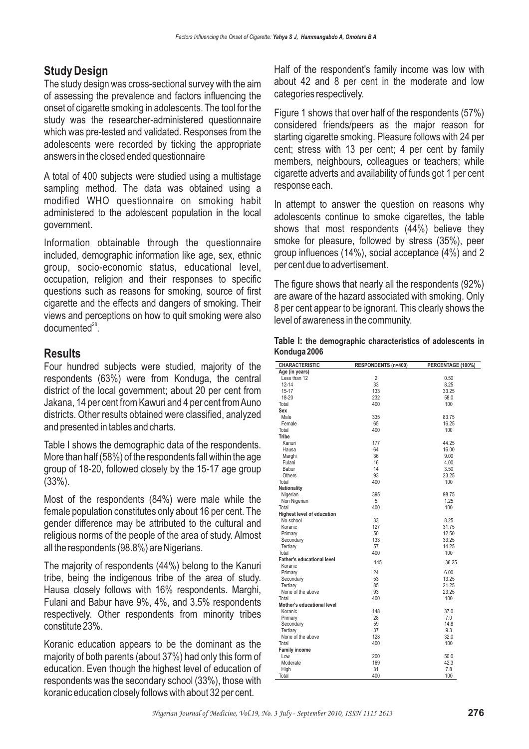# **Study Design**

The study design was cross-sectional survey with the aim of assessing the prevalence and factors influencing the onset of cigarette smoking in adolescents. The tool for the study was the researcher-administered questionnaire which was pre-tested and validated. Responses from the adolescents were recorded by ticking the appropriate answers in the closed ended questionnaire

A total of 400 subjects were studied using a multistage sampling method. The data was obtained using a modified WHO questionnaire on smoking habit administered to the adolescent population in the local government.

Information obtainable through the questionnaire included, demographic information like age, sex, ethnic group, socio-economic status, educational level, occupation, religion and their responses to specific questions such as reasons for smoking, source of first cigarette and the effects and dangers of smoking. Their views and perceptions on how to quit smoking were also documented<sup>28</sup>.

## **Results**

Four hundred subjects were studied, majority of the respondents (63%) were from Konduga, the central district of the local government; about 20 per cent from Jakana, 14 per cent from Kawuri and 4 per cent fromAuno districts. Other results obtained were classified, analyzed and presented in tables and charts.

Table I shows the demographic data of the respondents. More than half (58%) of the respondents fall within the age group of 18-20, followed closely by the 15-17 age group (33%).

Most of the respondents (84%) were male while the female population constitutes only about 16 per cent. The gender difference may be attributed to the cultural and religious norms of the people of the area of study. Almost all the respondents (98.8%) are Nigerians.

The majority of respondents (44%) belong to the Kanuri tribe, being the indigenous tribe of the area of study. Hausa closely follows with 16% respondents. Marghi, Fulani and Babur have 9%, 4%, and 3.5% respondents respectively. Other respondents from minority tribes constitute 23%.

Koranic education appears to be the dominant as the majority of both parents (about 37%) had only this form of education. Even though the highest level of education of respondents was the secondary school (33%), those with koranic education closely follows with about 32 per cent.

Half of the respondent's family income was low with about 42 and 8 per cent in the moderate and low categories respectively.

Figure 1 shows that over half of the respondents (57%) considered friends/peers as the major reason for starting cigarette smoking. Pleasure follows with 24 per cent; stress with 13 per cent; 4 per cent by family members, neighbours, colleagues or teachers; while cigarette adverts and availability of funds got 1 per cent response each.

In attempt to answer the question on reasons why adolescents continue to smoke cigarettes, the table shows that most respondents (44%) believe they smoke for pleasure, followed by stress (35%), peer group influences (14%), social acceptance (4%) and 2 per cent due to advertisement.

The figure shows that nearly all the respondents (92%) are aware of the hazard associated with smoking. Only 8 per cent appear to be ignorant. This clearly shows the level of awareness in the community.

| Table I: the demographic characteristics of adolescents in |  |  |
|------------------------------------------------------------|--|--|
| Konduga 2006                                               |  |  |

| Age (in years)<br>Less than 12<br>2<br>0.50<br>33<br>$12 - 14$<br>8.25<br>$15 - 17$<br>133<br>33.25<br>232<br>18-20<br>58.0<br>400<br>100<br>Total<br>Sex<br>Male<br>335<br>83.75<br>Female<br>65<br>16.25<br>Total<br>400<br>100<br><b>Tribe</b><br>Kanuri<br>177<br>44.25<br>Hausa<br>64<br>16.00<br>36<br>Marghi<br>9.00<br>Fulani<br>16<br>4.00<br>Babur<br>14<br>3.50<br>93<br>Others<br>23.25<br>400<br>100<br>Total<br>Nationality<br>Nigerian<br>395<br>98.75<br>5<br>Non Nigerian<br>1.25<br>400<br>100<br>Total<br><b>Highest level of education</b><br>No school<br>33<br>8.25<br>127<br>31.75<br>Koranic<br>50<br>12.50<br>Primary<br>133<br>33.25<br>Secondary<br>57<br>14.25<br>Tertiary<br>400<br>Total<br>100<br><b>Father's educational level</b><br>145<br>36.25<br>Koranic<br>Primary<br>24<br>6.00<br>53<br>Secondary<br>13.25<br>Tertiary<br>85<br>21.25<br>None of the above<br>93<br>23.25<br>400<br>Total<br>100<br>Mother's educational level<br>Koranic<br>148<br>37.0<br>Primary<br>28<br>7.0<br>Secondary<br>59<br>14.8<br>37<br>Tertiarv<br>9.3<br>None of the above<br>128<br>32.0<br>400<br>Total<br>100<br><b>Family income</b><br>Low<br>200<br>50.0<br>Moderate<br>169<br>42.3<br>High<br>31<br>7.8<br>Total<br>400<br>100 | <b>CHARACTERISTIC</b> | <b>RESPONDENTS (n=400)</b> | PERCENTAGE (100%) |
|--------------------------------------------------------------------------------------------------------------------------------------------------------------------------------------------------------------------------------------------------------------------------------------------------------------------------------------------------------------------------------------------------------------------------------------------------------------------------------------------------------------------------------------------------------------------------------------------------------------------------------------------------------------------------------------------------------------------------------------------------------------------------------------------------------------------------------------------------------------------------------------------------------------------------------------------------------------------------------------------------------------------------------------------------------------------------------------------------------------------------------------------------------------------------------------------------------------------------------------------------------------|-----------------------|----------------------------|-------------------|
|                                                                                                                                                                                                                                                                                                                                                                                                                                                                                                                                                                                                                                                                                                                                                                                                                                                                                                                                                                                                                                                                                                                                                                                                                                                              |                       |                            |                   |
|                                                                                                                                                                                                                                                                                                                                                                                                                                                                                                                                                                                                                                                                                                                                                                                                                                                                                                                                                                                                                                                                                                                                                                                                                                                              |                       |                            |                   |
|                                                                                                                                                                                                                                                                                                                                                                                                                                                                                                                                                                                                                                                                                                                                                                                                                                                                                                                                                                                                                                                                                                                                                                                                                                                              |                       |                            |                   |
|                                                                                                                                                                                                                                                                                                                                                                                                                                                                                                                                                                                                                                                                                                                                                                                                                                                                                                                                                                                                                                                                                                                                                                                                                                                              |                       |                            |                   |
|                                                                                                                                                                                                                                                                                                                                                                                                                                                                                                                                                                                                                                                                                                                                                                                                                                                                                                                                                                                                                                                                                                                                                                                                                                                              |                       |                            |                   |
|                                                                                                                                                                                                                                                                                                                                                                                                                                                                                                                                                                                                                                                                                                                                                                                                                                                                                                                                                                                                                                                                                                                                                                                                                                                              |                       |                            |                   |
|                                                                                                                                                                                                                                                                                                                                                                                                                                                                                                                                                                                                                                                                                                                                                                                                                                                                                                                                                                                                                                                                                                                                                                                                                                                              |                       |                            |                   |
|                                                                                                                                                                                                                                                                                                                                                                                                                                                                                                                                                                                                                                                                                                                                                                                                                                                                                                                                                                                                                                                                                                                                                                                                                                                              |                       |                            |                   |
|                                                                                                                                                                                                                                                                                                                                                                                                                                                                                                                                                                                                                                                                                                                                                                                                                                                                                                                                                                                                                                                                                                                                                                                                                                                              |                       |                            |                   |
|                                                                                                                                                                                                                                                                                                                                                                                                                                                                                                                                                                                                                                                                                                                                                                                                                                                                                                                                                                                                                                                                                                                                                                                                                                                              |                       |                            |                   |
|                                                                                                                                                                                                                                                                                                                                                                                                                                                                                                                                                                                                                                                                                                                                                                                                                                                                                                                                                                                                                                                                                                                                                                                                                                                              |                       |                            |                   |
|                                                                                                                                                                                                                                                                                                                                                                                                                                                                                                                                                                                                                                                                                                                                                                                                                                                                                                                                                                                                                                                                                                                                                                                                                                                              |                       |                            |                   |
|                                                                                                                                                                                                                                                                                                                                                                                                                                                                                                                                                                                                                                                                                                                                                                                                                                                                                                                                                                                                                                                                                                                                                                                                                                                              |                       |                            |                   |
|                                                                                                                                                                                                                                                                                                                                                                                                                                                                                                                                                                                                                                                                                                                                                                                                                                                                                                                                                                                                                                                                                                                                                                                                                                                              |                       |                            |                   |
|                                                                                                                                                                                                                                                                                                                                                                                                                                                                                                                                                                                                                                                                                                                                                                                                                                                                                                                                                                                                                                                                                                                                                                                                                                                              |                       |                            |                   |
|                                                                                                                                                                                                                                                                                                                                                                                                                                                                                                                                                                                                                                                                                                                                                                                                                                                                                                                                                                                                                                                                                                                                                                                                                                                              |                       |                            |                   |
|                                                                                                                                                                                                                                                                                                                                                                                                                                                                                                                                                                                                                                                                                                                                                                                                                                                                                                                                                                                                                                                                                                                                                                                                                                                              |                       |                            |                   |
|                                                                                                                                                                                                                                                                                                                                                                                                                                                                                                                                                                                                                                                                                                                                                                                                                                                                                                                                                                                                                                                                                                                                                                                                                                                              |                       |                            |                   |
|                                                                                                                                                                                                                                                                                                                                                                                                                                                                                                                                                                                                                                                                                                                                                                                                                                                                                                                                                                                                                                                                                                                                                                                                                                                              |                       |                            |                   |
|                                                                                                                                                                                                                                                                                                                                                                                                                                                                                                                                                                                                                                                                                                                                                                                                                                                                                                                                                                                                                                                                                                                                                                                                                                                              |                       |                            |                   |
|                                                                                                                                                                                                                                                                                                                                                                                                                                                                                                                                                                                                                                                                                                                                                                                                                                                                                                                                                                                                                                                                                                                                                                                                                                                              |                       |                            |                   |
|                                                                                                                                                                                                                                                                                                                                                                                                                                                                                                                                                                                                                                                                                                                                                                                                                                                                                                                                                                                                                                                                                                                                                                                                                                                              |                       |                            |                   |
|                                                                                                                                                                                                                                                                                                                                                                                                                                                                                                                                                                                                                                                                                                                                                                                                                                                                                                                                                                                                                                                                                                                                                                                                                                                              |                       |                            |                   |
|                                                                                                                                                                                                                                                                                                                                                                                                                                                                                                                                                                                                                                                                                                                                                                                                                                                                                                                                                                                                                                                                                                                                                                                                                                                              |                       |                            |                   |
|                                                                                                                                                                                                                                                                                                                                                                                                                                                                                                                                                                                                                                                                                                                                                                                                                                                                                                                                                                                                                                                                                                                                                                                                                                                              |                       |                            |                   |
|                                                                                                                                                                                                                                                                                                                                                                                                                                                                                                                                                                                                                                                                                                                                                                                                                                                                                                                                                                                                                                                                                                                                                                                                                                                              |                       |                            |                   |
|                                                                                                                                                                                                                                                                                                                                                                                                                                                                                                                                                                                                                                                                                                                                                                                                                                                                                                                                                                                                                                                                                                                                                                                                                                                              |                       |                            |                   |
|                                                                                                                                                                                                                                                                                                                                                                                                                                                                                                                                                                                                                                                                                                                                                                                                                                                                                                                                                                                                                                                                                                                                                                                                                                                              |                       |                            |                   |
|                                                                                                                                                                                                                                                                                                                                                                                                                                                                                                                                                                                                                                                                                                                                                                                                                                                                                                                                                                                                                                                                                                                                                                                                                                                              |                       |                            |                   |
|                                                                                                                                                                                                                                                                                                                                                                                                                                                                                                                                                                                                                                                                                                                                                                                                                                                                                                                                                                                                                                                                                                                                                                                                                                                              |                       |                            |                   |
|                                                                                                                                                                                                                                                                                                                                                                                                                                                                                                                                                                                                                                                                                                                                                                                                                                                                                                                                                                                                                                                                                                                                                                                                                                                              |                       |                            |                   |
|                                                                                                                                                                                                                                                                                                                                                                                                                                                                                                                                                                                                                                                                                                                                                                                                                                                                                                                                                                                                                                                                                                                                                                                                                                                              |                       |                            |                   |
|                                                                                                                                                                                                                                                                                                                                                                                                                                                                                                                                                                                                                                                                                                                                                                                                                                                                                                                                                                                                                                                                                                                                                                                                                                                              |                       |                            |                   |
|                                                                                                                                                                                                                                                                                                                                                                                                                                                                                                                                                                                                                                                                                                                                                                                                                                                                                                                                                                                                                                                                                                                                                                                                                                                              |                       |                            |                   |
|                                                                                                                                                                                                                                                                                                                                                                                                                                                                                                                                                                                                                                                                                                                                                                                                                                                                                                                                                                                                                                                                                                                                                                                                                                                              |                       |                            |                   |
|                                                                                                                                                                                                                                                                                                                                                                                                                                                                                                                                                                                                                                                                                                                                                                                                                                                                                                                                                                                                                                                                                                                                                                                                                                                              |                       |                            |                   |
|                                                                                                                                                                                                                                                                                                                                                                                                                                                                                                                                                                                                                                                                                                                                                                                                                                                                                                                                                                                                                                                                                                                                                                                                                                                              |                       |                            |                   |
|                                                                                                                                                                                                                                                                                                                                                                                                                                                                                                                                                                                                                                                                                                                                                                                                                                                                                                                                                                                                                                                                                                                                                                                                                                                              |                       |                            |                   |
|                                                                                                                                                                                                                                                                                                                                                                                                                                                                                                                                                                                                                                                                                                                                                                                                                                                                                                                                                                                                                                                                                                                                                                                                                                                              |                       |                            |                   |
|                                                                                                                                                                                                                                                                                                                                                                                                                                                                                                                                                                                                                                                                                                                                                                                                                                                                                                                                                                                                                                                                                                                                                                                                                                                              |                       |                            |                   |
|                                                                                                                                                                                                                                                                                                                                                                                                                                                                                                                                                                                                                                                                                                                                                                                                                                                                                                                                                                                                                                                                                                                                                                                                                                                              |                       |                            |                   |
|                                                                                                                                                                                                                                                                                                                                                                                                                                                                                                                                                                                                                                                                                                                                                                                                                                                                                                                                                                                                                                                                                                                                                                                                                                                              |                       |                            |                   |
|                                                                                                                                                                                                                                                                                                                                                                                                                                                                                                                                                                                                                                                                                                                                                                                                                                                                                                                                                                                                                                                                                                                                                                                                                                                              |                       |                            |                   |
|                                                                                                                                                                                                                                                                                                                                                                                                                                                                                                                                                                                                                                                                                                                                                                                                                                                                                                                                                                                                                                                                                                                                                                                                                                                              |                       |                            |                   |
|                                                                                                                                                                                                                                                                                                                                                                                                                                                                                                                                                                                                                                                                                                                                                                                                                                                                                                                                                                                                                                                                                                                                                                                                                                                              |                       |                            |                   |
|                                                                                                                                                                                                                                                                                                                                                                                                                                                                                                                                                                                                                                                                                                                                                                                                                                                                                                                                                                                                                                                                                                                                                                                                                                                              |                       |                            |                   |
|                                                                                                                                                                                                                                                                                                                                                                                                                                                                                                                                                                                                                                                                                                                                                                                                                                                                                                                                                                                                                                                                                                                                                                                                                                                              |                       |                            |                   |
|                                                                                                                                                                                                                                                                                                                                                                                                                                                                                                                                                                                                                                                                                                                                                                                                                                                                                                                                                                                                                                                                                                                                                                                                                                                              |                       |                            |                   |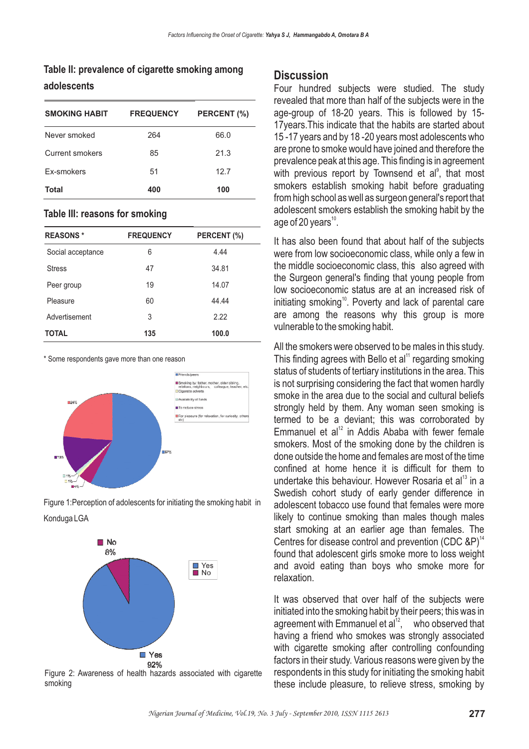### **Table II: prevalence of cigarette smoking among adolescents**

| <b>SMOKING HABIT</b>   | <b>FREQUENCY</b> | PERCENT (%) |
|------------------------|------------------|-------------|
| Never smoked           | 264              | 66.0        |
| <b>Current smokers</b> | 85               | 21.3        |
| Ex-smokers             | 51               | 12.7        |
| Total                  | 400              | 100         |

#### **Table III: reasons for smoking**

| <b>REASONS*</b>   | <b>FREQUENCY</b> | PERCENT (%) |
|-------------------|------------------|-------------|
| Social acceptance | 6                | 4.44        |
| <b>Stress</b>     | 47               | 34.81       |
| Peer group        | 19               | 14.07       |
| Pleasure          | 60               | 44.44       |
| Advertisement     | 3                | 2.22        |
| <b>TOTAL</b>      | 135              | 100.0       |

\* Some respondents gave more than one reason



Figure 1:Perception of adolescents for initiating the smoking habit in Konduga LGA



Figure 2: Awareness of health hazards associated with cigarette smoking

#### **Discussion**

Four hundred subjects were studied. The study revealed that more than half of the subjects were in the age-group of 18-20 years. This is followed by 15- 17years.This indicate that the habits are started about 15 -17 years and by 18 -20 years most adolescents who are prone to smoke would have joined and therefore the prevalence peak at this age. This finding is in agreement with previous report by Townsend et al $\degree$ , that most smokers establish smoking habit before graduating from high school as well as surgeon general's report that adolescent smokers establish the smoking habit by the age of 20 years $^{\text{10}}$ .

It has also been found that about half of the subjects were from low socioeconomic class, while only a few in the middle socioeconomic class, this also agreed with the Surgeon general's finding that young people from low socioeconomic status are at an increased risk of initiating smoking<sup>10</sup>. Poverty and lack of parental care are among the reasons why this group is more vulnerable to the smoking habit.

All the smokers were observed to be males in this study. This finding agrees with Bello et al $11$  regarding smoking status of students of tertiary institutions in the area. This is not surprising considering the fact that women hardly smoke in the area due to the social and cultural beliefs strongly held by them. Any woman seen smoking is termed to be a deviant; this was corroborated by Emmanuel et al $12$  in Addis Ababa with fewer female smokers. Most of the smoking done by the children is done outside the home and females are most of the time confined at home hence it is difficult for them to undertake this behaviour. However Rosaria et al<sup>13</sup> in a Swedish cohort study of early gender difference in adolescent tobacco use found that females were more likely to continue smoking than males though males start smoking at an earlier age than females. The Centres for disease control and prevention (CDC  $\&P)^{14}$ found that adolescent girls smoke more to loss weight and avoid eating than boys who smoke more for relaxation.

It was observed that over half of the subjects were initiated into the smoking habit by their peers; this was in agreement with Emmanuel et al $^{12}$ , who observed that having a friend who smokes was strongly associated with cigarette smoking after controlling confounding factors in their study. Various reasons were given by the respondents in this study for initiating the smoking habit these include pleasure, to relieve stress, smoking by